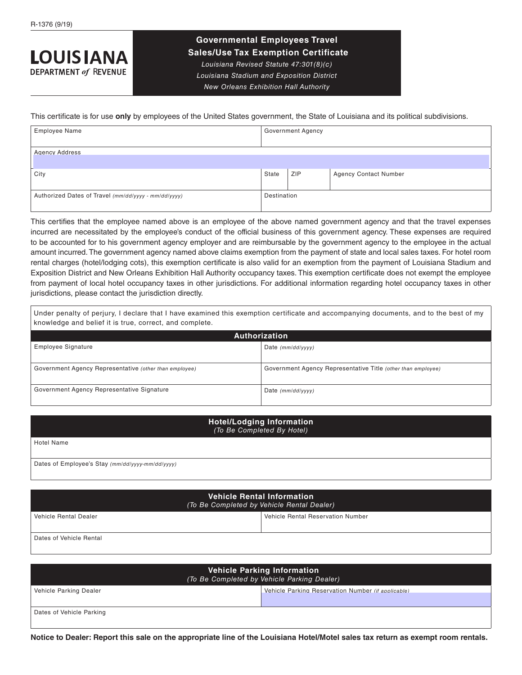## **OUIS ANA DEPARTMENT of REVENUE**

### **Governmental Employees Travel**

 **Sales/Use Tax Exemption Certificate**  *Louisiana Revised Statute 47:301(8)(c)* 

*Louisiana Stadium and Exposition District* 

*New Orleans Exhibition Hall Authority* 

This certifcate is for use **only** by employees of the United States government, the State of Louisiana and its political subdivisions.

| <b>Employee Name</b>                                 | <b>Government Agency</b> |            |                              |
|------------------------------------------------------|--------------------------|------------|------------------------------|
|                                                      |                          |            |                              |
| <b>Agency Address</b>                                |                          |            |                              |
|                                                      |                          |            |                              |
| City                                                 | State                    | <b>ZIP</b> | <b>Agency Contact Number</b> |
|                                                      |                          |            |                              |
| Authorized Dates of Travel (mm/dd/yyyy - mm/dd/yyyy) | Destination              |            |                              |
|                                                      |                          |            |                              |

This certifes that the employee named above is an employee of the above named government agency and that the travel expenses incurred are necessitated by the employee's conduct of the official business of this government agency. These expenses are required to be accounted for to his government agency employer and are reimbursable by the government agency to the employee in the actual amount incurred. The government agency named above claims exemption from the payment of state and local sales taxes. For hotel room rental charges (hotel/lodging cots), this exemption certificate is also valid for an exemption from the payment of Louisiana Stadium and Exposition District and New Orleans Exhibition Hall Authority occupancy taxes. This exemption certifcate does not exempt the employee from payment of local hotel occupancy taxes in other jurisdictions. For additional information regarding hotel occupancy taxes in other jurisdictions, please contact the jurisdiction directly.

Under penalty of perjury, I declare that I have examined this exemption certificate and accompanying documents, and to the best of my knowledge and belief it is true, correct, and complete.

| Authorization                                          |                                                              |  |  |
|--------------------------------------------------------|--------------------------------------------------------------|--|--|
| <b>Employee Signature</b>                              | Date $(mm/dd/vv/v)$                                          |  |  |
|                                                        |                                                              |  |  |
| Government Agency Representative (other than employee) | Government Agency Representative Title (other than employee) |  |  |
| Government Agency Representative Signature             | Date $(mm/dd/yyyy)$                                          |  |  |

#### **Hotel/Lodging Information**  *(To Be Completed By Hotel)*

Hotel Name

Dates of Employee's Stay *(mm/dd/yyyy-mm/dd/yyyy)* 

| <b>Vehicle Rental Information</b><br>(To Be Completed by Vehicle Rental Dealer) |                                   |  |
|---------------------------------------------------------------------------------|-----------------------------------|--|
| Vehicle Rental Dealer                                                           | Vehicle Rental Reservation Number |  |
| Dates of Vehicle Rental                                                         |                                   |  |

| <b>Vehicle Parking Information</b><br>(To Be Completed by Vehicle Parking Dealer) |                                                    |  |  |
|-----------------------------------------------------------------------------------|----------------------------------------------------|--|--|
| Vehicle Parking Dealer                                                            | Vehicle Parking Reservation Number (if applicable) |  |  |
|                                                                                   |                                                    |  |  |
| Dates of Vehicle Parking                                                          |                                                    |  |  |
|                                                                                   |                                                    |  |  |

**Notice to Dealer: Report this sale on the appropriate line of the Louisiana Hotel/Motel sales tax return as exempt room rentals.**